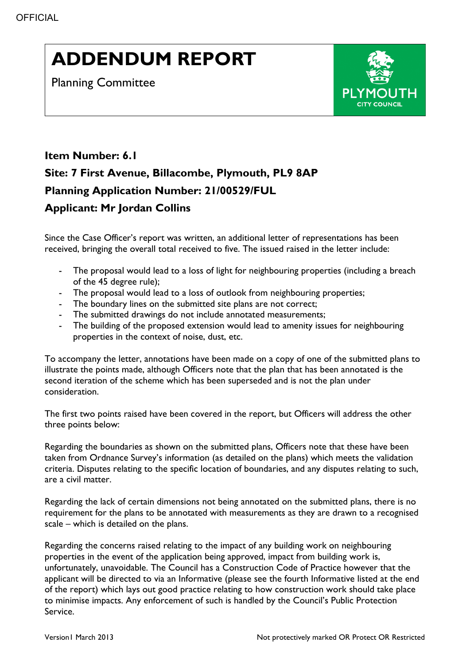## **ADDENDUM REPORT**

Planning Committee



## **Item Number: 6.1 Site: 7 First Avenue, Billacombe, Plymouth, PL9 8AP Planning Application Number: 21/00529/FUL Applicant: Mr Jordan Collins**

Since the Case Officer's report was written, an additional letter of representations has been received, bringing the overall total received to five. The issued raised in the letter include:

- The proposal would lead to a loss of light for neighbouring properties (including a breach of the 45 degree rule);
- The proposal would lead to a loss of outlook from neighbouring properties;
- The boundary lines on the submitted site plans are not correct;
- The submitted drawings do not include annotated measurements;
- The building of the proposed extension would lead to amenity issues for neighbouring properties in the context of noise, dust, etc.

To accompany the letter, annotations have been made on a copy of one of the submitted plans to illustrate the points made, although Officers note that the plan that has been annotated is the second iteration of the scheme which has been superseded and is not the plan under consideration.

The first two points raised have been covered in the report, but Officers will address the other three points below:

Regarding the boundaries as shown on the submitted plans, Officers note that these have been taken from Ordnance Survey's information (as detailed on the plans) which meets the validation criteria. Disputes relating to the specific location of boundaries, and any disputes relating to such, are a civil matter.

Regarding the lack of certain dimensions not being annotated on the submitted plans, there is no requirement for the plans to be annotated with measurements as they are drawn to a recognised scale – which is detailed on the plans.

Regarding the concerns raised relating to the impact of any building work on neighbouring properties in the event of the application being approved, impact from building work is, unfortunately, unavoidable. The Council has a Construction Code of Practice however that the applicant will be directed to via an Informative (please see the fourth Informative listed at the end of the report) which lays out good practice relating to how construction work should take place to minimise impacts. Any enforcement of such is handled by the Council's Public Protection Service.